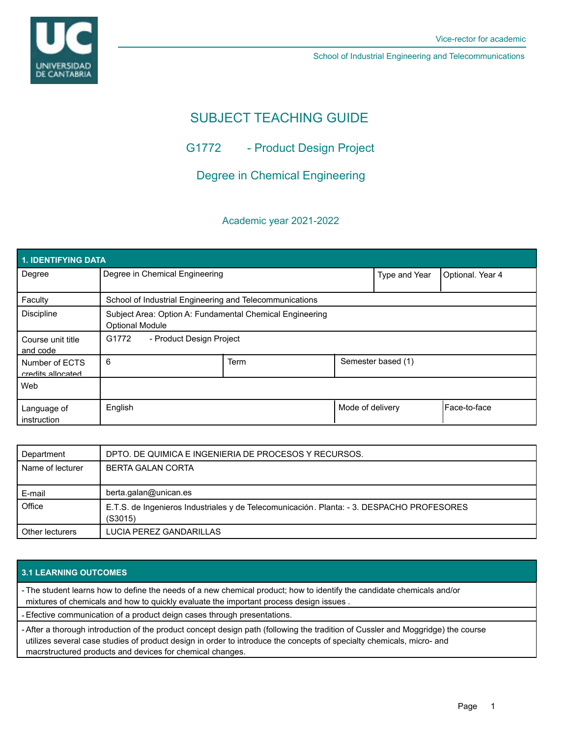**UNIVERSIDAD DE CANTABRIA** 

School of Industrial Engineering and Telecommunications

# SUBJECT TEACHING GUIDE

## G1772 - Product Design Project

## Degree in Chemical Engineering

### Academic year 2021-2022

| 1. IDENTIFYING DATA                 |                                                                                    |             |                  |                    |                |  |  |  |
|-------------------------------------|------------------------------------------------------------------------------------|-------------|------------------|--------------------|----------------|--|--|--|
| Degree                              | Degree in Chemical Engineering                                                     |             | Type and Year    | Optional. Year 4   |                |  |  |  |
| Faculty                             | School of Industrial Engineering and Telecommunications                            |             |                  |                    |                |  |  |  |
| <b>Discipline</b>                   | Subject Area: Option A: Fundamental Chemical Engineering<br><b>Optional Module</b> |             |                  |                    |                |  |  |  |
| Course unit title<br>and code       | G1772<br>- Product Design Project                                                  |             |                  |                    |                |  |  |  |
| Number of ECTS<br>credits allocated | 6                                                                                  | <b>Term</b> |                  | Semester based (1) |                |  |  |  |
| Web                                 |                                                                                    |             |                  |                    |                |  |  |  |
| Language of<br>instruction          | English                                                                            |             | Mode of delivery |                    | l Face-to-face |  |  |  |

| Department       | DPTO. DE QUIMICA E INGENIERIA DE PROCESOS Y RECURSOS.                                                |
|------------------|------------------------------------------------------------------------------------------------------|
| Name of lecturer | <b>BERTA GALAN CORTA</b>                                                                             |
|                  |                                                                                                      |
| E-mail           | berta.galan@unican.es                                                                                |
| Office           | E.T.S. de Ingenieros Industriales y de Telecomunicación. Planta: - 3. DESPACHO PROFESORES<br>(S3015) |
| Other lecturers  | LUCIA PEREZ GANDARILLAS                                                                              |

## **3.1 LEARNING OUTCOMES**

- The student learns how to define the needs of a new chemical product; how to identify the candidate chemicals and/or mixtures of chemicals and how to quickly evaluate the important process design issues .

- Efective communication of a product deign cases through presentations.

- After a thorough introduction of the product concept design path (following the tradition of Cussler and Moggridge) the course utilizes several case studies of product design in order to introduce the concepts of specialty chemicals, micro- and macrstructured products and devices for chemical changes.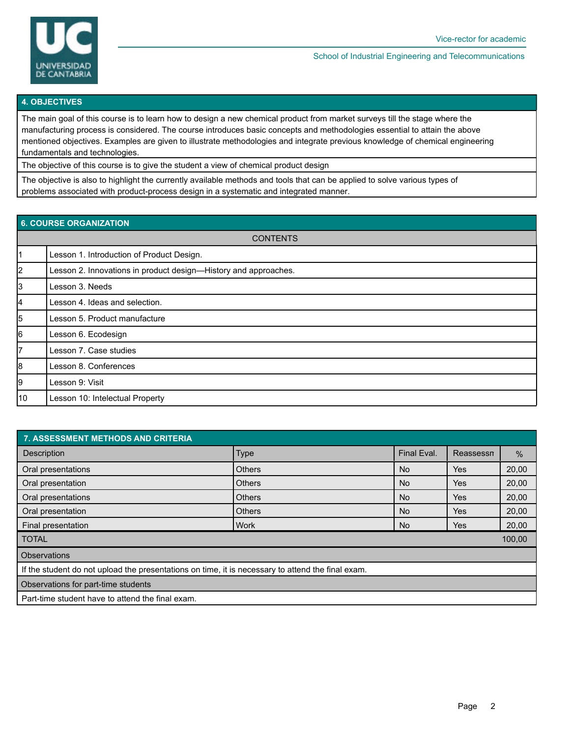

#### School of Industrial Engineering and Telecommunications

#### **4. OBJECTIVES**

The main goal of this course is to learn how to design a new chemical product from market surveys till the stage where the manufacturing process is considered. The course introduces basic concepts and methodologies essential to attain the above mentioned objectives. Examples are given to illustrate methodologies and integrate previous knowledge of chemical engineering fundamentals and technologies.

The objective of this course is to give the student a view of chemical product design

The objective is also to highlight the currently available methods and tools that can be applied to solve various types of problems associated with product-process design in a systematic and integrated manner.

### **6. COURSE ORGANIZATION**

| <b>CONTENTS</b> |                                                                 |  |  |  |
|-----------------|-----------------------------------------------------------------|--|--|--|
| $\vert$ 1       | Lesson 1. Introduction of Product Design.                       |  |  |  |
| 2               | Lesson 2. Innovations in product design-History and approaches. |  |  |  |
| 3               | Lesson 3. Needs                                                 |  |  |  |
| 4               | Lesson 4. Ideas and selection.                                  |  |  |  |
| 5               | Lesson 5. Product manufacture                                   |  |  |  |
| 6               | Lesson 6. Ecodesign                                             |  |  |  |
| 7               | Lesson 7. Case studies                                          |  |  |  |
| 8               | Lesson 8. Conferences                                           |  |  |  |
| 9               | Lesson 9: Visit                                                 |  |  |  |
| 10              | Lesson 10: Intelectual Property                                 |  |  |  |

| 7. ASSESSMENT METHODS AND CRITERIA                                                                |               |             |           |               |  |  |  |
|---------------------------------------------------------------------------------------------------|---------------|-------------|-----------|---------------|--|--|--|
| <b>Description</b>                                                                                | Type          | Final Eval. | Reassessn | $\frac{0}{0}$ |  |  |  |
| Oral presentations                                                                                | <b>Others</b> | No.         | Yes       | 20,00         |  |  |  |
| Oral presentation                                                                                 | <b>Others</b> | No          | Yes       | 20,00         |  |  |  |
| Oral presentations                                                                                | <b>Others</b> | No.         | Yes       | 20,00         |  |  |  |
| Oral presentation                                                                                 | <b>Others</b> | No.         | Yes.      | 20,00         |  |  |  |
| Final presentation                                                                                | <b>Work</b>   | No.         | Yes       | 20,00         |  |  |  |
| I TOTAL<br>100,00                                                                                 |               |             |           |               |  |  |  |
| <b>Observations</b>                                                                               |               |             |           |               |  |  |  |
| If the student do not upload the presentations on time, it is necessary to attend the final exam. |               |             |           |               |  |  |  |
| Observations for part-time students                                                               |               |             |           |               |  |  |  |
| Part-time student have to attend the final exam.                                                  |               |             |           |               |  |  |  |